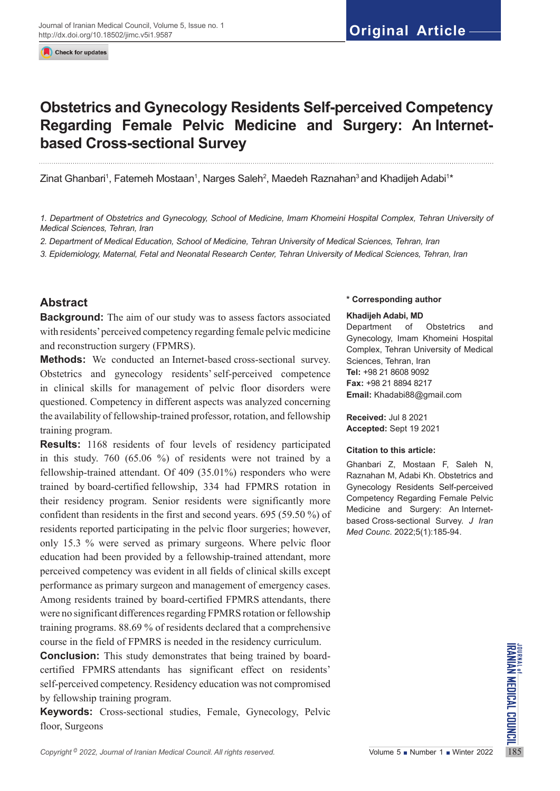Check for updates

# **Obstetrics and Gynecology Residents Self-perceived Competency Regarding Female Pelvic Medicine and Surgery: An Internetbased Cross-sectional Survey**

Zinat Ghanbari<sup>1</sup>, Fatemeh Mostaan<sup>1</sup>, Narges Saleh<sup>2</sup>, Maedeh Raznahan<sup>3</sup> and Khadijeh Adabi<sup>1</sup>\*

1. Department of Obstetrics and Gynecology, School of Medicine, Imam Khomeini Hospital Complex, Tehran University of *Medical Sciences, Tehran, Iran*

*2. Department of Medical Education, School of Medicine, Tehran University of Medical Sciences, Tehran, Iran*

*3. Epidemiology, Maternal, Fetal and Neonatal Research Center, Tehran University of Medical Sciences, Tehran, Iran*

# **Abstract**

**Background:** The aim of our study was to assess factors associated with residents' perceived competency regarding female pelvic medicine and reconstruction surgery (FPMRS).

**Methods:** We conducted an Internet-based cross-sectional survey. Obstetrics and gynecology residents'self-perceived competence in clinical skills for management of pelvic floor disorders were questioned. Competency in different aspects was analyzed concerning the availability of fellowship-trained professor, rotation, and fellowship training program.

**Results:** 1168 residents of four levels of residency participated in this study. 760 (65.06 %) of residents were not trained by a fellowship-trained attendant. Of 409 (35.01%) responders who were trained by board-certified fellowship, 334 had FPMRS rotation in their residency program. Senior residents were significantly more confident than residents in the first and second years. 695 (59.50 %) of residents reported participating in the pelvic floor surgeries; however, only 15.3 % were served as primary surgeons. Where pelvic floor education had been provided by a fellowship-trained attendant, more perceived competency was evident in all fields of clinical skills except performance as primary surgeon and management of emergency cases. Among residents trained by board-certified FPMRS attendants, there were no significant differences regarding FPMRS rotation or fellowship training programs. 88.69 % of residents declared that a comprehensive course in the field of FPMRS is needed in the residency curriculum.

**Conclusion:** This study demonstrates that being trained by board-<br>
certified FPMRS attendants has significant effect on residents'<br>
self-perceived competency. Residency education was not compromised<br>
by fellowship trainin **Conclusion:** This study demonstrates that being trained by boardcertified FPMRS attendants has significant effect on residents' self-perceived competency. Residency education was not compromised by fellowship training program.

**Keywords:** [Cross-sectional studies,](https://meshb.nlm.nih.gov/record/ui?name=Cross-Sectional%20Studies) Female, Gynecology, Pelvic floor, Surgeons

#### **\* Corresponding author**

#### **Khadijeh Adabi, MD**

Department of Obstetrics and Gynecology, Imam Khomeini Hospital Complex, Tehran University of Medical Sciences, Tehran, Iran **Tel:** +98 21 8608 9092 **Fax:** +98 21 8894 8217 **Email:** Khadabi88@gmail.com

**Received:** Jul 8 2021 **Accepted:** Sept 19 2021

#### **Citation to this article:**

Ghanbari Z, Mostaan F, Saleh N, Raznahan M, Adabi Kh. Obstetrics and Gynecology Residents Self-perceived Competency Regarding Female Pelvic Medicine and Surgery: An Internetbased Cross-sectional Survey. *J Iran Med Counc*. 2022;5(1):185-94.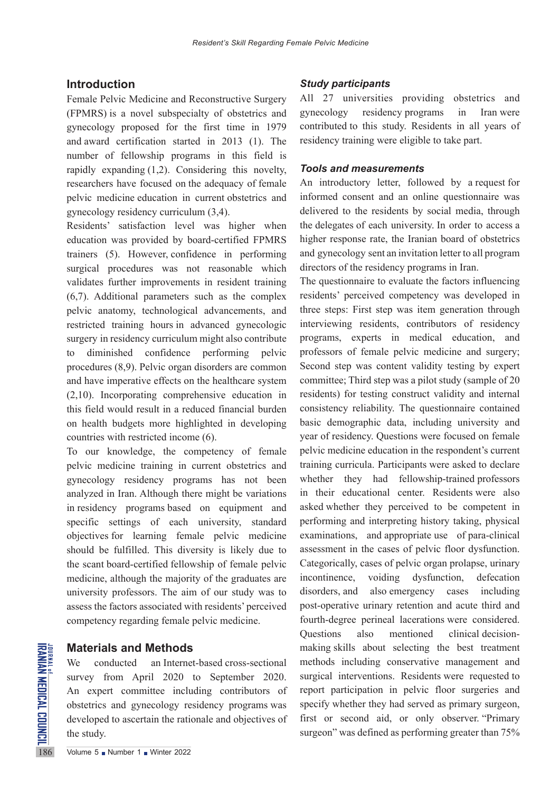# **Introduction**

Female Pelvic Medicine and Reconstructive Surgery (FPMRS) is a novel subspecialty of obstetrics and gynecology proposed for the first time in 1979 and award certification started in 2013 (1). The number of fellowship programs in this field is rapidly expanding (1,2). Considering this novelty, researchers have focused on the adequacy of female pelvic medicine education in current obstetrics and gynecology residency curriculum (3,4).

Residents' satisfaction level was higher when education was provided by board-certified FPMRS trainers (5). However, confidence in performing surgical procedures was not reasonable which validates further improvements in resident training (6,7). Additional parameters such as the complex pelvic anatomy, technological advancements, and restricted training hours in advanced gynecologic surgery in residency curriculum might also contribute to diminished confidence performing pelvic procedures (8,9). Pelvic organ disorders are common and have imperative effects on the healthcare system (2,10). Incorporating comprehensive education in this field would result in a reduced financial burden on health budgets more highlighted in developing countries with restricted income (6).

To our knowledge, the competency of female pelvic medicine training in current obstetrics and gynecology residency programs has not been analyzed in Iran. Although there might be variations in residency programs based on equipment and specific settings of each university, standard objectives for learning female pelvic medicine should be fulfilled. This diversity is likely due to the scant board-certified fellowship of female pelvic medicine, although the majority of the graduates are university professors. The aim of our study was to assess the factors associated with residents' perceived competency regarding female pelvic medicine.

## **Materials and Methods**

Materials and Methods<br>
We conducted an Interne<br>
survey from April 2020<br>
An expert committee included<br>
obstetrics and gynecology re<br>
developed to ascertain the ration<br>
the study.<br>
The study. We conducted an Internet-based cross-sectional survey from April 2020 to September 2020. An expert committee including contributors of obstetrics and gynecology residency programs was developed to ascertain the rationale and objectives of the study.

## *Study participants*

All 27 universities providing obstetrics and gynecology residency programs in Iran were contributed to this study. Residents in all years of residency training were eligible to take part.

#### *Tools and measurements*

An introductory letter, followed by a request for informed consent and an online questionnaire was delivered to the residents by social media, through the delegates of each university. In order to access a higher response rate, the Iranian board of obstetrics and gynecology sent an invitation letter to all program directors of the residency programs in Iran.

The questionnaire to evaluate the factors influencing residents' perceived competency was developed in three steps: First step was item generation through interviewing residents, contributors of residency programs, experts in medical education, and professors of female pelvic medicine and surgery; Second step was content validity testing by expert committee; Third step was a pilot study (sample of 20 residents) for testing construct validity and internal consistency reliability. The questionnaire contained basic demographic data, including university and year of residency. Questions were focused on female pelvic medicine education in the respondent's current training curricula. Participants were asked to declare whether they had fellowship-trained professors in their educational center. Residents were also asked whether they perceived to be competent in performing and interpreting history taking, physical examinations, and appropriate use of para-clinical assessment in the cases of pelvic floor dysfunction. Categorically, cases of pelvic organ prolapse, urinary incontinence, voiding dysfunction, defecation disorders, and also emergency cases including post-operative urinary retention and acute third and fourth-degree perineal lacerations were considered. Questions also mentioned clinical decisionmaking skills about selecting the best treatment methods including conservative management and surgical interventions. Residents were requested to report participation in pelvic floor surgeries and specify whether they had served as primary surgeon, first or second aid, or only observer. "Primary surgeon" was defined as performing greater than 75%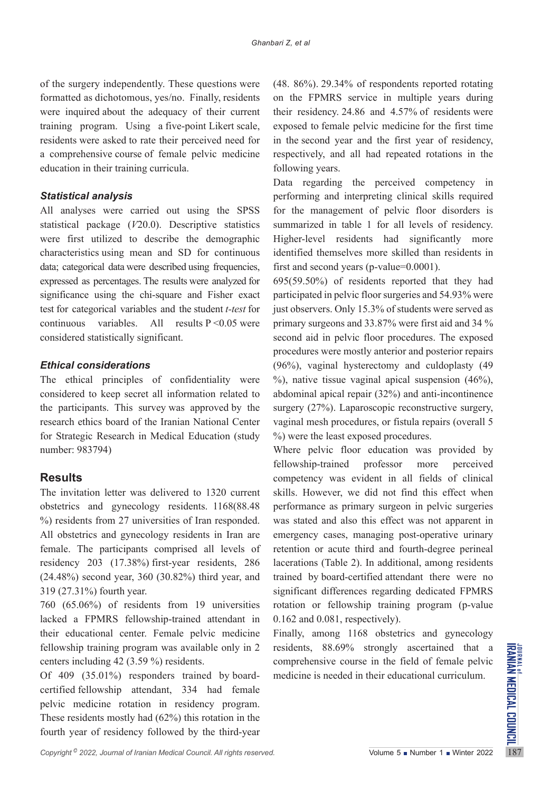of the surgery independently. These questions were formatted as dichotomous, yes/no. Finally, residents were inquired about the adequacy of their current training program. Using a five-point Likert scale, residents were asked to rate their perceived need for a comprehensive course of female pelvic medicine education in their training curricula.

## *Statistical analysis*

All analyses were carried out using the SPSS statistical package (*V*20.0). Descriptive statistics were first utilized to describe the demographic characteristics using mean and SD for continuous data; categorical data were described using frequencies, expressed as percentages. The results were analyzed for significance using the chi-square and Fisher exact test for categorical variables and the student *t-test* for continuous variables. All results  $P \le 0.05$  were considered statistically significant.

## *Ethical considerations*

The ethical principles of confidentiality were considered to keep secret all information related to the participants. This survey was approved by the research ethics board of the Iranian National Center for Strategic Research in Medical Education (study number: 983794)

# **Results**

The invitation letter was delivered to 1320 current obstetrics and gynecology residents. 1168(88.48 %) residents from 27 universities of Iran responded. All obstetrics and gynecology residents in Iran are female. The participants comprised all levels of residency 203 (17.38%) first-year residents, 286 (24.48%) second year, 360 (30.82%) third year, and 319 (27.31%) fourth year.

760 (65.06%) of residents from 19 universities lacked a FPMRS fellowship-trained attendant in their educational center. Female pelvic medicine fellowship training program was available only in 2 centers including 42 (3.59 %) residents.

Of 409 (35.01%) responders trained by boardcertified fellowship attendant, 334 had female pelvic medicine rotation in residency program. These residents mostly had (62%) this rotation in the fourth year of residency followed by the third-year (48. 86%). 29.34% of respondents reported rotating on the FPMRS service in multiple years during their residency. 24.86 and 4.57% of residents were exposed to female pelvic medicine for the first time in the second year and the first year of residency, respectively, and all had repeated rotations in the following years.

Data regarding the perceived competency in performing and interpreting clinical skills required for the management of pelvic floor disorders is summarized in table 1 for all levels of residency. Higher-level residents had significantly more identified themselves more skilled than residents in first and second years (p-value=0.0001).

695(59.50%) of residents reported that they had participated in pelvic floor surgeries and 54.93% were just observers. Only 15.3% of students were served as primary surgeons and 33.87% were first aid and 34 % second aid in pelvic floor procedures. The exposed procedures were mostly anterior and posterior repairs (96%), vaginal hysterectomy and culdoplasty (49  $%$ ), native tissue vaginal apical suspension (46%), abdominal apical repair (32%) and anti-incontinence surgery (27%). Laparoscopic reconstructive surgery, vaginal mesh procedures, or fistula repairs (overall 5 %) were the least exposed procedures.

Where pelvic floor education was provided by fellowship-trained professor more perceived competency was evident in all fields of clinical skills. However, we did not find this effect when performance as primary surgeon in pelvic surgeries was stated and also this effect was not apparent in emergency cases, managing post-operative urinary retention or acute third and fourth-degree perineal lacerations (Table 2). In additional, among residents trained by board-certified attendant there were no significant differences regarding dedicated FPMRS rotation or fellowship training program (p-value 0.162 and 0.081, respectively).

Finally, among 1168 obstetrics and gynecology residents, 88.69% strongly ascertained that a comprehensive course in the field of female pelvic medicine is needed in their educational curriculum.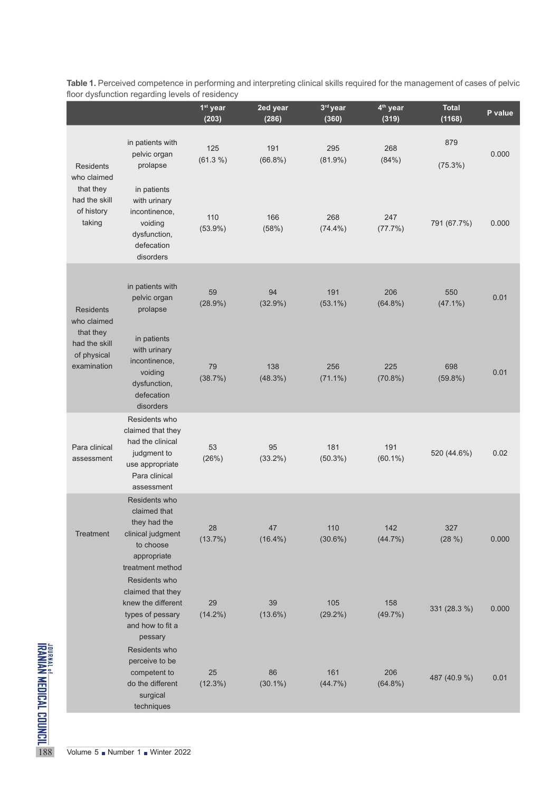|                                                                   |                                                                                                                         | 1 <sup>st</sup> year<br>(203) | 2ed year<br>(286) | 3rd year<br>(360) | 4 <sup>th</sup> year<br>(319) | <b>Total</b><br>(1168) | P value |
|-------------------------------------------------------------------|-------------------------------------------------------------------------------------------------------------------------|-------------------------------|-------------------|-------------------|-------------------------------|------------------------|---------|
| <b>Residents</b>                                                  | in patients with<br>pelvic organ<br>prolapse                                                                            | 125<br>(61.3 %)               | 191<br>$(66.8\%)$ | 295<br>$(81.9\%)$ | 268<br>(84%)                  | 879<br>(75.3%)         | 0.000   |
| who claimed<br>that they<br>had the skill<br>of history<br>taking | in patients<br>with urinary<br>incontinence,<br>voiding<br>dysfunction,<br>defecation<br>disorders                      | 110<br>$(53.9\%)$             | 166<br>(58%)      | 268<br>$(74.4\%)$ | 247<br>(77.7%)                | 791 (67.7%)            | 0.000   |
| <b>Residents</b><br>who claimed                                   | in patients with<br>pelvic organ<br>prolapse                                                                            | 59<br>(28.9%)                 | 94<br>$(32.9\%)$  | 191<br>$(53.1\%)$ | 206<br>$(64.8\%)$             | 550<br>$(47.1\%)$      | 0.01    |
| that they<br>had the skill<br>of physical<br>examination          | in patients<br>with urinary<br>incontinence,<br>voiding<br>dysfunction,<br>defecation<br>disorders                      | 79<br>(38.7%)                 | 138<br>(48.3%)    | 256<br>$(71.1\%)$ | 225<br>$(70.8\%)$             | 698<br>$(59.8\%)$      | 0.01    |
| Para clinical<br>assessment                                       | Residents who<br>claimed that they<br>had the clinical<br>judgment to<br>use appropriate<br>Para clinical<br>assessment | 53<br>(26%)                   | 95<br>$(33.2\%)$  | 181<br>$(50.3\%)$ | 191<br>$(60.1\%)$             | 520 (44.6%)            | 0.02    |
| Treatment                                                         | Residents who<br>claimed that<br>they had the<br>clinical judgment<br>to choose<br>appropriate<br>treatment method      | 28<br>(13.7%)                 | 47<br>$(16.4\%)$  | 110<br>$(30.6\%)$ | 142<br>$(44.7\%)$             | 327<br>(28%)           | 0.000   |
|                                                                   | Residents who<br>claimed that they<br>knew the different<br>types of pessary<br>and how to fit a<br>pessary             | 29<br>$(14.2\%)$              | 39<br>$(13.6\%)$  | 105<br>$(29.2\%)$ | 158<br>(49.7%)                | 331 (28.3 %)           | 0.000   |
|                                                                   | Residents who<br>perceive to be<br>competent to<br>do the different<br>surgical<br>techniques                           | 25<br>(12.3%)                 | 86<br>$(30.1\%)$  | 161<br>(44.7%)    | 206<br>$(64.8\%)$             | 487 (40.9 %)           | 0.01    |

**Table 1.** Perceived competence in performing and interpreting clinical skills required for the management of cases of pelvic floor dysfunction regarding levels of residency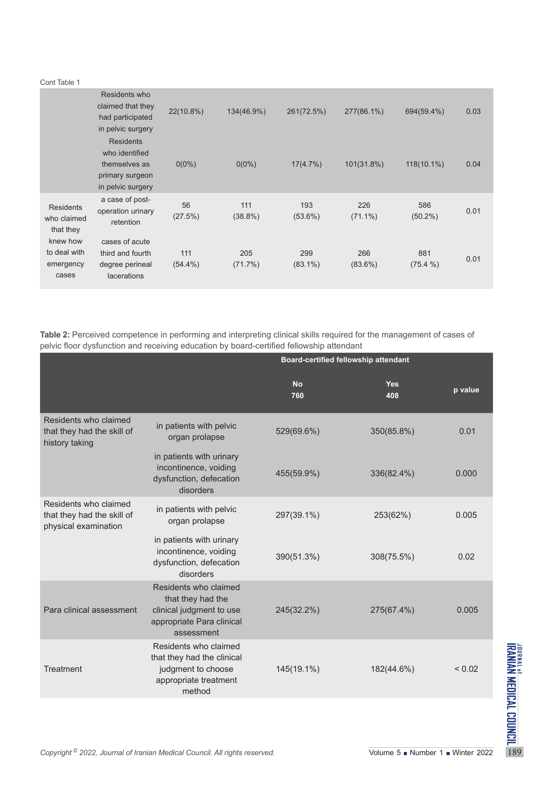#### Cont Table 1

|                                                | Residents who<br>claimed that they<br>had participated<br>in pelvic surgery                 | 22(10.8%)         | 134(46.9%)        | 261(72.5%)        | 277(86.1%)        | 694(59.4%)        | 0.03 |
|------------------------------------------------|---------------------------------------------------------------------------------------------|-------------------|-------------------|-------------------|-------------------|-------------------|------|
|                                                | <b>Residents</b><br>who identified<br>themselves as<br>primary surgeon<br>in pelvic surgery | $0(0\%)$          | $0(0\%)$          | 17(4.7%)          | 101(31.8%)        | 118(10.1%)        | 0.04 |
| <b>Residents</b><br>who claimed<br>that they   | a case of post-<br>operation urinary<br>retention                                           | 56<br>(27.5%)     | 111<br>$(38.8\%)$ | 193<br>$(53.6\%)$ | 226<br>$(71.1\%)$ | 586<br>$(50.2\%)$ | 0.01 |
| knew how<br>to deal with<br>emergency<br>cases | cases of acute<br>third and fourth<br>degree perineal<br><b>lacerations</b>                 | 111<br>$(54.4\%)$ | 205<br>(71.7%)    | 299<br>$(83.1\%)$ | 266<br>$(83.6\%)$ | 881<br>$(75.4\%)$ | 0.01 |

**Table 2:** Perceived competence in performing and interpreting clinical skills required for the management of cases of pelvic floor dysfunction and receiving education by board-certified fellowship attendant

|                                                                                       |                                                                                                                   | Board-certified fellowship attendant |                   |             |
|---------------------------------------------------------------------------------------|-------------------------------------------------------------------------------------------------------------------|--------------------------------------|-------------------|-------------|
|                                                                                       |                                                                                                                   | <b>No</b><br>760                     | <b>Yes</b><br>408 | p value     |
| Residents who claimed<br>that they had the skill of<br>history taking                 | in patients with pelvic<br>organ prolapse                                                                         | 529(69.6%)                           | 350(85.8%)        | 0.01        |
|                                                                                       | in patients with urinary<br>incontinence, voiding<br>dysfunction, defecation<br>disorders                         | 455(59.9%)                           | 336(82.4%)        | 0.000       |
| Residents who claimed<br>that they had the skill of<br>physical examination           | in patients with pelvic<br>organ prolapse                                                                         | 297(39.1%)                           | 253(62%)          | 0.005       |
|                                                                                       | in patients with urinary<br>incontinence, voiding<br>dysfunction, defecation<br>disorders                         | 390(51.3%)                           | 308(75.5%)        | 0.02        |
| Para clinical assessment                                                              | Residents who claimed<br>that they had the<br>clinical judgment to use<br>appropriate Para clinical<br>assessment | 245(32.2%)                           | 275(67.4%)        | 0.005       |
| Treatment                                                                             | Residents who claimed<br>that they had the clinical<br>judgment to choose<br>appropriate treatment<br>method      | 145(19.1%)                           | 182(44.6%)        | ${}_{0.02}$ |
|                                                                                       |                                                                                                                   |                                      |                   |             |
| Copyright <sup>©</sup> 2022, Journal of Iranian Medical Council. All rights reserved. |                                                                                                                   | Volume 5 Number 1 Winter 2022        |                   |             |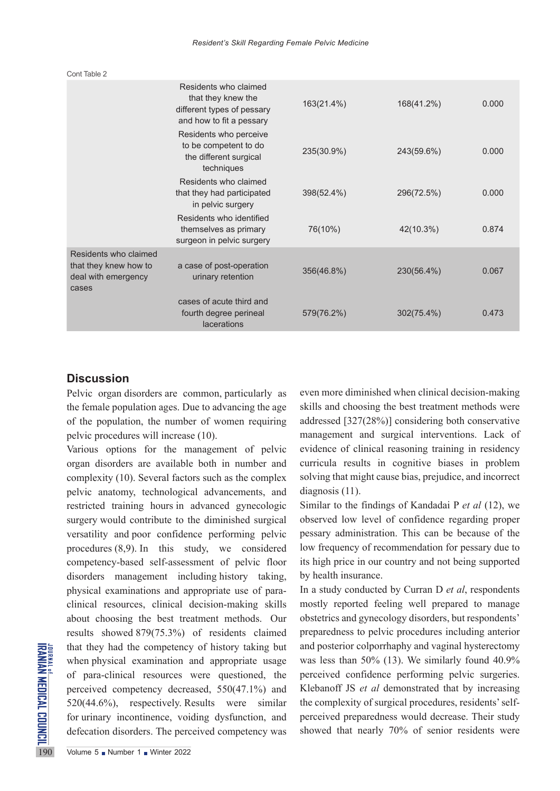|                                                                                | Residents who claimed<br>that they knew the<br>different types of pessary<br>and how to fit a pessary | 163(21.4%) | 168(41.2%) | 0.000 |
|--------------------------------------------------------------------------------|-------------------------------------------------------------------------------------------------------|------------|------------|-------|
|                                                                                | Residents who perceive<br>to be competent to do<br>the different surgical<br>techniques               | 235(30.9%) | 243(59.6%) | 0.000 |
|                                                                                | Residents who claimed<br>that they had participated<br>in pelvic surgery                              | 398(52.4%) | 296(72.5%) | 0.000 |
|                                                                                | Residents who identified<br>themselves as primary<br>surgeon in pelvic surgery                        | 76(10%)    | 42(10.3%)  | 0.874 |
| Residents who claimed<br>that they knew how to<br>deal with emergency<br>cases | a case of post-operation<br>urinary retention                                                         | 356(46.8%) | 230(56.4%) | 0.067 |
|                                                                                | cases of acute third and<br>fourth degree perineal<br><b>lacerations</b>                              | 579(76.2%) | 302(75.4%) | 0.473 |

# **Discussion**

Cont Table 2

Pelvic organ disorders are common, particularly as the female population ages. Due to advancing the age of the population, the number of women requiring pelvic procedures will increase (10).

that they had the competency<br>
when physical examination and<br>
of para-clinical resources<br>
perceived competency decreases<br>
520(44.6%), respectively. R<br>
for urinary incontinence, voil<br>
defecation disorders. The perceively<br>
19 Various options for the management of pelvic organ disorders are available both in number and complexity (10). Several factors such as the complex pelvic anatomy, technological advancements, and restricted training hours in advanced gynecologic surgery would contribute to the diminished surgical versatility and poor confidence performing pelvic procedures (8,9). In this study, we considered competency-based self-assessment of pelvic floor disorders management including history taking, physical examinations and appropriate use of paraclinical resources, clinical decision-making skills about choosing the best treatment methods. Our results showed 879(75.3%) of residents claimed that they had the competency of history taking but when physical examination and appropriate usage of para-clinical resources were questioned, the perceived competency decreased, 550(47.1%) and 520(44.6%), respectively. Results were similar for urinary incontinence, voiding dysfunction, and defecation disorders. The perceived competency was

even more diminished when clinical decision-making skills and choosing the best treatment methods were addressed [327(28%)] considering both conservative management and surgical interventions. Lack of evidence of clinical reasoning training in residency curricula results in cognitive biases in problem solving that might cause bias, prejudice, and incorrect diagnosis (11).

Similar to the findings of Kandadai P *et al* (12), we observed low level of confidence regarding proper pessary administration. This can be because of the low frequency of recommendation for pessary due to its high price in our country and not being supported by health insurance.

In a study conducted by Curran D *et al*, respondents mostly reported feeling well prepared to manage obstetrics and gynecology disorders, but respondents' preparedness to pelvic procedures including anterior and posterior colporrhaphy and vaginal hysterectomy was less than 50% (13). We similarly found 40.9% perceived confidence performing pelvic surgeries. Klebanoff JS *et al* demonstrated that by increasing the complexity of surgical procedures, residents' selfperceived preparedness would decrease. Their study showed that nearly 70% of senior residents were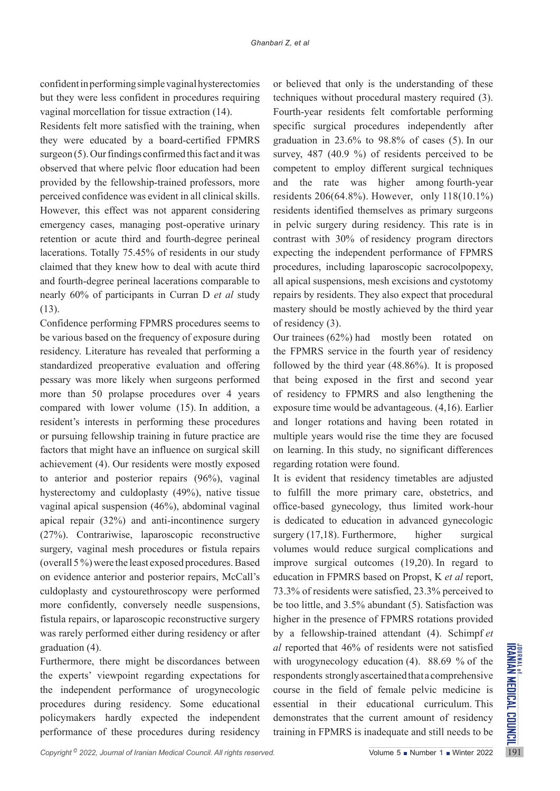confident in performing simple vaginal hysterectomies but they were less confident in procedures requiring vaginal morcellation for tissue extraction (14).

Residents felt more satisfied with the training, when they were educated by a board-certified FPMRS surgeon (5). Our findings confirmed this fact and it was observed that where pelvic floor education had been provided by the fellowship-trained professors, more perceived confidence was evident in all clinical skills. However, this effect was not apparent considering emergency cases, managing post-operative urinary retention or acute third and fourth-degree perineal lacerations. Totally 75.45% of residents in our study claimed that they knew how to deal with acute third and fourth-degree perineal lacerations comparable to nearly 60% of participants in Curran D *et al* study (13).

Confidence performing FPMRS procedures seems to be various based on the frequency of exposure during residency. Literature has revealed that performing a standardized preoperative evaluation and offering pessary was more likely when surgeons performed more than 50 prolapse procedures over 4 years compared with lower volume (15). In addition, a resident's interests in performing these procedures or pursuing fellowship training in future practice are factors that might have an influence on surgical skill achievement (4). Our residents were mostly exposed to anterior and posterior repairs (96%), vaginal hysterectomy and culdoplasty (49%), native tissue vaginal apical suspension (46%), abdominal vaginal apical repair (32%) and anti-incontinence surgery (27%). Contrariwise, laparoscopic reconstructive surgery, vaginal mesh procedures or fistula repairs (overall 5 %) were the least exposed procedures. Based on evidence anterior and posterior repairs, McCall's culdoplasty and cystourethroscopy were performed more confidently, conversely needle suspensions, fistula repairs, or laparoscopic reconstructive surgery was rarely performed either during residency or after graduation (4).

Furthermore, there might be discordances between the experts' viewpoint regarding expectations for the independent performance of urogynecologic procedures during residency. Some educational policymakers hardly expected the independent performance of these procedures during residency or believed that only is the understanding of these techniques without procedural mastery required (3). Fourth-year residents felt comfortable performing specific surgical procedures independently after graduation in 23.6% to 98.8% of cases (5). In our survey, 487 (40.9 %) of residents perceived to be competent to employ different surgical techniques and the rate was higher among fourth-year residents 206(64.8%). However, only 118(10.1%) residents identified themselves as primary surgeons in pelvic surgery during residency. This rate is in contrast with 30% of residency program directors expecting the independent performance of FPMRS procedures, including laparoscopic sacrocolpopexy, all apical suspensions, mesh excisions and cystotomy repairs by residents. They also expect that procedural mastery should be mostly achieved by the third year of residency (3).

Our trainees (62%) had mostly been rotated on the FPMRS service in the fourth year of residency followed by the third year (48.86%). It is proposed that being exposed in the first and second year of residency to FPMRS and also lengthening the exposure time would be advantageous. (4,16). Earlier and longer rotations and having been rotated in multiple years would rise the time they are focused on learning. In this study, no significant differences regarding rotation were found.

It is evident that residency timetables are adjusted to fulfill the more primary care, obstetrics, and office-based gynecology, thus limited work-hour is dedicated to education in advanced gynecologic surgery  $(17,18)$ . Furthermore, higher surgical volumes would reduce surgical complications and improve surgical outcomes (19,20). In regard to education in FPMRS based on Propst, K *et al* report, 73.3% of residents were satisfied, 23.3% perceived to be too little, and 3.5% abundant (5). Satisfaction was higher in the presence of FPMRS rotations provided by a fellowship-trained attendant (4). Schimpf *et al* reported that 46% of residents were not satisfied with urogynecology education (4). 88.69 % of the respondents strongly ascertained that a comprehensive course in the field of female pelvic medicine is essential in their educational curriculum. This demonstrates that the current amount of residency training in FPMRS is inadequate and still needs to be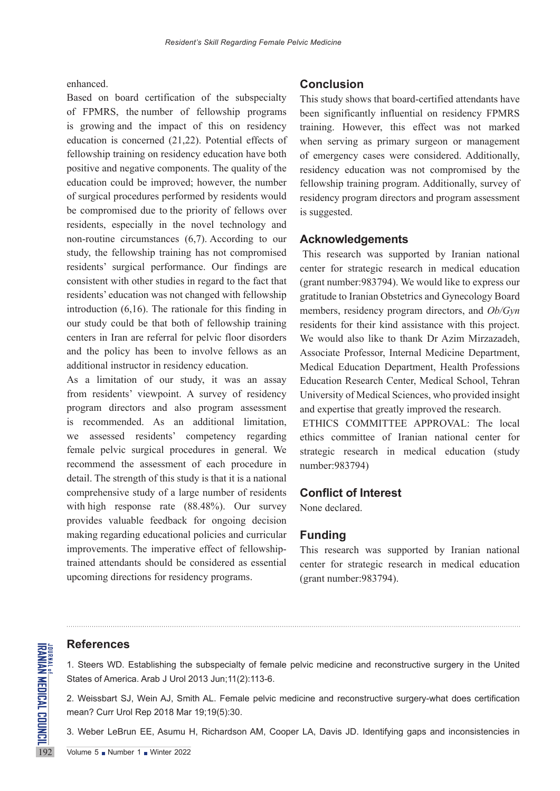#### enhanced.

Based on board certification of the subspecialty of FPMRS, the number of fellowship programs is growing and the impact of this on residency education is concerned (21,22). Potential effects of fellowship training on residency education have both positive and negative components. The quality of the education could be improved; however, the number of surgical procedures performed by residents would be compromised due to the priority of fellows over residents, especially in the novel technology and non-routine circumstances (6,7). According to our study, the fellowship training has not compromised residents' surgical performance. Our findings are consistent with other studies in regard to the fact that residents' education was not changed with fellowship introduction (6,16). The rationale for this finding in our study could be that both of fellowship training centers in Iran are referral for pelvic floor disorders and the policy has been to involve fellows as an additional instructor in residency education.

As a limitation of our study, it was an assay from residents' viewpoint. A survey of residency program directors and also program assessment is recommended. As an additional limitation, we assessed residents' competency regarding female pelvic surgical procedures in general. We recommend the assessment of each procedure in detail. The strength of this study is that it is a national comprehensive study of a large number of residents with high response rate (88.48%). Our survey provides valuable feedback for ongoing decision making regarding educational policies and curricular improvements. The imperative effect of fellowshiptrained attendants should be considered as essential upcoming directions for residency programs.

#### **Conclusion**

This study shows that board-certified attendants have been significantly influential on residency FPMRS training. However, this effect was not marked when serving as primary surgeon or management of emergency cases were considered. Additionally, residency education was not compromised by the fellowship training program. Additionally, survey of residency program directors and program assessment is suggested.

#### **Acknowledgements**

This research was supported by Iranian national center for strategic research in medical education (grant number:983794). We would like to express our gratitude to Iranian Obstetrics and Gynecology Board members, residency program directors, and *Ob/Gyn*  residents for their kind assistance with this project. We would also like to thank Dr Azim Mirzazadeh, Associate Professor, Internal Medicine Department, Medical Education Department, Health Professions Education Research Center, Medical School, Tehran University of Medical Sciences, who provided insight and expertise that greatly improved the research.

ETHICS COMMITTEE APPROVAL: The local ethics committee of Iranian national center for strategic research in medical education (study number:983794)

#### **Conflict of Interest**

None declared.

## **Funding**

This research was supported by Iranian national center for strategic research in medical education (grant number:983794).

# **References**

**REFERENCES**<br>
1. Steers WD. Establishing the<br>
States of America. Arab J Urol 2<br>
2. Weissbart SJ, Wein AJ, Smi<br>
mean? Curr Urol Rep 2018 Mar<br>
3. Weber LeBrun EE, Asumu I<br>
Volume 5 Number 1 Nutter 2022 1. Steers WD. Establishing the subspecialty of female pelvic medicine and reconstructive surgery in the United States of America. Arab J Urol 2013 Jun;11(2):113-6.

2. Weissbart SJ, Wein AJ, Smith AL. Female pelvic medicine and reconstructive surgery-what does certification mean? Curr Urol Rep 2018 Mar 19;19(5):30.

3. Weber LeBrun EE, Asumu H, Richardson AM, Cooper LA, Davis JD. Identifying gaps and inconsistencies in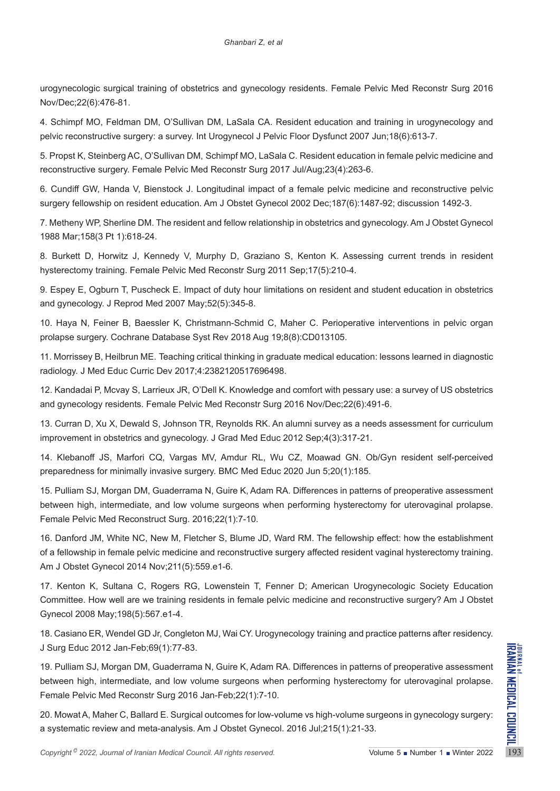urogynecologic surgical training of obstetrics and gynecology residents. Female Pelvic Med Reconstr Surg 2016 Nov/Dec;22(6):476-81.

4. Schimpf MO, Feldman DM, O'Sullivan DM, LaSala CA. Resident education and training in urogynecology and pelvic reconstructive surgery: a survey. Int Urogynecol J Pelvic Floor Dysfunct 2007 Jun;18(6):613-7.

5. Propst K, Steinberg AC, O'Sullivan DM, Schimpf MO, LaSala C. Resident education in female pelvic medicine and reconstructive surgery. Female Pelvic Med Reconstr Surg 2017 Jul/Aug;23(4):263-6.

6. Cundiff GW, Handa V, Bienstock J. Longitudinal impact of a female pelvic medicine and reconstructive pelvic surgery fellowship on resident education. Am J Obstet Gynecol 2002 Dec;187(6):1487-92; discussion 1492-3.

7. Metheny WP, Sherline DM. The resident and fellow relationship in obstetrics and gynecology. Am J Obstet Gynecol 1988 Mar;158(3 Pt 1):618-24.

8. Burkett D, Horwitz J, Kennedy V, Murphy D, Graziano S, Kenton K. Assessing current trends in resident hysterectomy training. Female Pelvic Med Reconstr Surg 2011 Sep;17(5):210-4.

9. Espey E, Ogburn T, Puscheck E. Impact of duty hour limitations on resident and student education in obstetrics and gynecology. J Reprod Med 2007 May;52(5):345-8.

10. Haya N, Feiner B, Baessler K, Christmann-Schmid C, Maher C. Perioperative interventions in pelvic organ prolapse surgery. Cochrane Database Syst Rev 2018 Aug 19;8(8):CD013105.

11. Morrissey B, Heilbrun ME. Teaching critical thinking in graduate medical education: lessons learned in diagnostic radiology. J Med Educ Curric Dev 2017;4:2382120517696498.

12. Kandadai P, Mcvay S, Larrieux JR, O'Dell K. Knowledge and comfort with pessary use: a survey of US obstetrics and gynecology residents. Female Pelvic Med Reconstr Surg 2016 Nov/Dec;22(6):491-6.

13. Curran D, Xu X, Dewald S, Johnson TR, Reynolds RK. An alumni survey as a needs assessment for curriculum improvement in obstetrics and gynecology. J Grad Med Educ 2012 Sep;4(3):317-21.

14. Klebanoff JS, Marfori CQ, Vargas MV, Amdur RL, Wu CZ, Moawad GN. Ob/Gyn resident self-perceived preparedness for minimally invasive surgery. BMC Med Educ 2020 Jun 5;20(1):185.

15. Pulliam SJ, Morgan DM, Guaderrama N, Guire K, Adam RA. Differences in patterns of preoperative assessment between high, intermediate, and low volume surgeons when performing hysterectomy for uterovaginal prolapse. Female Pelvic Med Reconstruct Surg. 2016;22(1):7-10.

16. Danford JM, White NC, New M, Fletcher S, Blume JD, Ward RM. The fellowship effect: how the establishment of a fellowship in female pelvic medicine and reconstructive surgery affected resident vaginal hysterectomy training. Am J Obstet Gynecol 2014 Nov;211(5):559.e1-6.

17. Kenton K, Sultana C, Rogers RG, Lowenstein T, Fenner D; American Urogynecologic Society Education Committee. How well are we training residents in female pelvic medicine and reconstructive surgery? Am J Obstet Gynecol 2008 May;198(5):567.e1-4.

18. Casiano ER, Wendel GD Jr, Congleton MJ, Wai CY. Urogynecology training and practice patterns after residency. J Surg Educ 2012 Jan-Feb;69(1):77-83.

*Copyright* <sup>®</sup> 2022, *Journal of Iranian Medical Council. All rights reserved.<br>
Copyright® 2022, <i>Journal of Iranian Medical Council. All rights reserved.* Volume 5 number 1 winter 2022<br> *Copyright® 2022, Journal of Iran* 19. Pulliam SJ, Morgan DM, Guaderrama N, Guire K, Adam RA. Differences in patterns of preoperative assessment between high, intermediate, and low volume surgeons when performing hysterectomy for uterovaginal prolapse. Female Pelvic Med Reconstr Surg 2016 Jan-Feb;22(1):7-10.

20. Mowat A, Maher C, Ballard E. Surgical outcomes for low-volume vs high-volume surgeons in gynecology surgery: a systematic review and meta-analysis. Am J Obstet Gynecol. 2016 Jul;215(1):21-33.